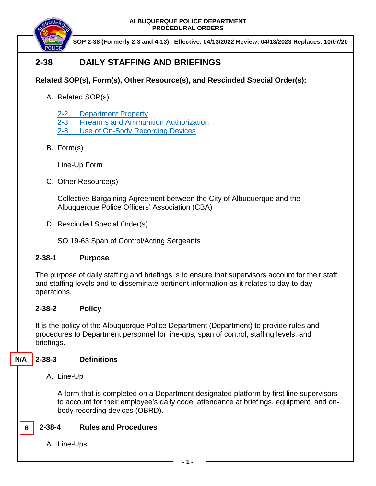

**SOP 2-38 (Formerly 2-3 and 4-13) Effective: 04/13/2022 Review: 04/13/2023 Replaces: 10/07/20**

# **2-38 DAILY STAFFING AND BRIEFINGS**

## **Related SOP(s), Form(s), Other Resource(s), and Rescinded Special Order(s):**

A. Related SOP(s)

2-2 [Department Property](https://powerdms.com/docs/216?q=2-2)

2-3 [Firearms and Ammunition Authorization](https://powerdms.com/docs/105?q=2-3)

2-8 [Use of On-Body Recording Devices](https://powerdms.com/docs/1137?q=2-8)

B. Form(s)

Line-Up Form

C. Other Resource(s)

Collective Bargaining Agreement between the City of Albuquerque and the Albuquerque Police Officers' Association (CBA)

D. Rescinded Special Order(s)

SO 19-63 Span of Control/Acting Sergeants

## **2-38-1 Purpose**

The purpose of daily staffing and briefings is to ensure that supervisors account for their staff and staffing levels and to disseminate pertinent information as it relates to day-to-day operations.

## **2-38-2 Policy**

It is the policy of the Albuquerque Police Department (Department) to provide rules and procedures to Department personnel for line-ups, span of control, staffing levels, and briefings.

#### **2-38-3 Definitions N/A**

A. Line-Up

A form that is completed on a Department designated platform by first line supervisors to account for their employee's daily code, attendance at briefings, equipment, and onbody recording devices (OBRD).

#### **2-38-4 Rules and Procedures 6**

A. Line-Ups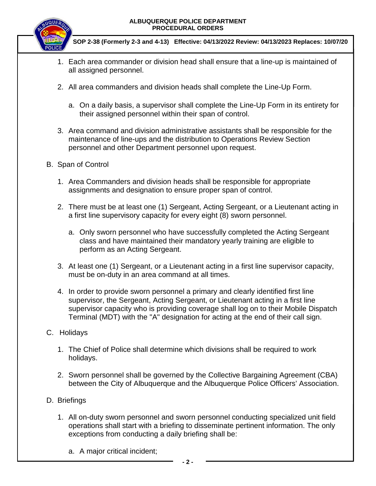

**SOP 2-38 (Formerly 2-3 and 4-13) Effective: 04/13/2022 Review: 04/13/2023 Replaces: 10/07/20**

- 1. Each area commander or division head shall ensure that a line-up is maintained of all assigned personnel.
- 2. All area commanders and division heads shall complete the Line-Up Form.
	- a. On a daily basis, a supervisor shall complete the Line-Up Form in its entirety for their assigned personnel within their span of control.
- 3. Area command and division administrative assistants shall be responsible for the maintenance of line-ups and the distribution to Operations Review Section personnel and other Department personnel upon request.
- B. Span of Control
	- 1. Area Commanders and division heads shall be responsible for appropriate assignments and designation to ensure proper span of control.
	- 2. There must be at least one (1) Sergeant, Acting Sergeant, or a Lieutenant acting in a first line supervisory capacity for every eight (8) sworn personnel.
		- a. Only sworn personnel who have successfully completed the Acting Sergeant class and have maintained their mandatory yearly training are eligible to perform as an Acting Sergeant.
	- 3. At least one (1) Sergeant, or a Lieutenant acting in a first line supervisor capacity, must be on-duty in an area command at all times.
	- 4. In order to provide sworn personnel a primary and clearly identified first line supervisor, the Sergeant, Acting Sergeant, or Lieutenant acting in a first line supervisor capacity who is providing coverage shall log on to their Mobile Dispatch Terminal (MDT) with the "A" designation for acting at the end of their call sign.
- C. Holidays
	- 1. The Chief of Police shall determine which divisions shall be required to work holidays.
	- 2. Sworn personnel shall be governed by the Collective Bargaining Agreement (CBA) between the City of Albuquerque and the Albuquerque Police Officers' Association.
- D. Briefings
	- 1. All on-duty sworn personnel and sworn personnel conducting specialized unit field operations shall start with a briefing to disseminate pertinent information. The only exceptions from conducting a daily briefing shall be:
		- a. A major critical incident;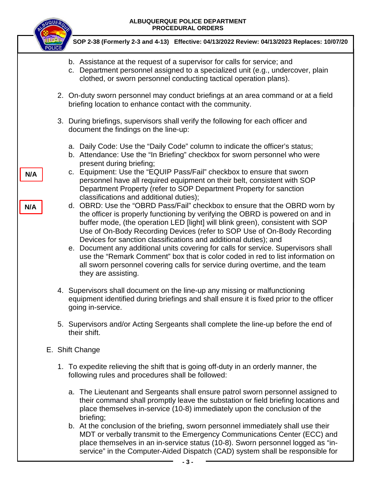

**N/A**

**N/A**

**SOP 2-38 (Formerly 2-3 and 4-13) Effective: 04/13/2022 Review: 04/13/2023 Replaces: 10/07/20**

- b. Assistance at the request of a supervisor for calls for service; and
- c. Department personnel assigned to a specialized unit (e.g., undercover, plain clothed, or sworn personnel conducting tactical operation plans).
- 2. On-duty sworn personnel may conduct briefings at an area command or at a field briefing location to enhance contact with the community.
- 3. During briefings, supervisors shall verify the following for each officer and document the findings on the line-up:
	- a. Daily Code: Use the "Daily Code" column to indicate the officer's status;
	- b. Attendance: Use the "In Briefing" checkbox for sworn personnel who were present during briefing;
	- c. Equipment: Use the "EQUIP Pass/Fail" checkbox to ensure that sworn personnel have all required equipment on their belt, consistent with SOP Department Property (refer to SOP Department Property for sanction classifications and additional duties);
	- d. OBRD: Use the "OBRD Pass/Fail" checkbox to ensure that the OBRD worn by the officer is properly functioning by verifying the OBRD is powered on and in buffer mode, (the operation LED [light] will blink green), consistent with SOP Use of On-Body Recording Devices (refer to SOP Use of On-Body Recording Devices for sanction classifications and additional duties); and
	- e. Document any additional units covering for calls for service. Supervisors shall use the "Remark Comment" box that is color coded in red to list information on all sworn personnel covering calls for service during overtime, and the team they are assisting.
- 4. Supervisors shall document on the line-up any missing or malfunctioning equipment identified during briefings and shall ensure it is fixed prior to the officer going in-service.
- 5. Supervisors and/or Acting Sergeants shall complete the line-up before the end of their shift.
- E. Shift Change
	- 1. To expedite relieving the shift that is going off-duty in an orderly manner, the following rules and procedures shall be followed:
		- a. The Lieutenant and Sergeants shall ensure patrol sworn personnel assigned to their command shall promptly leave the substation or field briefing locations and place themselves in-service (10-8) immediately upon the conclusion of the briefing;
		- b. At the conclusion of the briefing, sworn personnel immediately shall use their MDT or verbally transmit to the Emergency Communications Center (ECC) and place themselves in an in-service status (10-8). Sworn personnel logged as "inservice" in the Computer-Aided Dispatch (CAD) system shall be responsible for

**- 3 -**